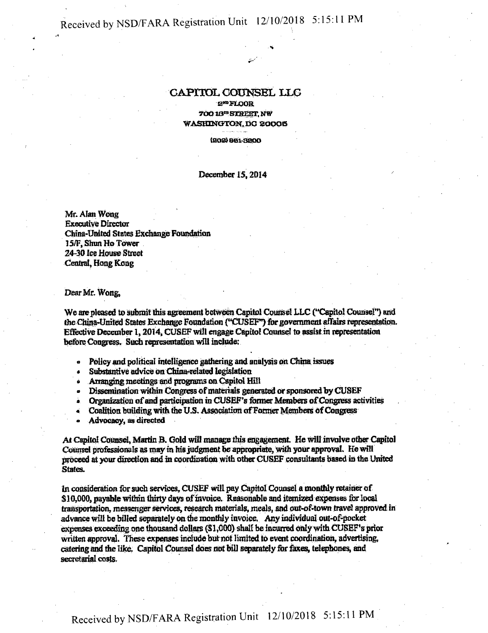## Received by NSD/FARA Registration Unit 12/10/2018 5:15:11 PM

## **CAPITOL COUNSEL LLG**

• H

e™FLOOR 70010™STREET, NW WASHINGTON,DC 20005

(202)881-3200

## December 15,2014

Mr. Alan Wong Executive Director China-United States Exchange Foundation 15/F, Shun Ho Tower 24-30 lee House Street Central, Hong Kong

Dear Mr. Wong,

We are pleased to submit this agreement between Capitol Counsel LLC ("Capitol Counsel") and the China-United States Exchange Foundation ("CUSEF") for government affairs representation. Effective December 1,2014, CUSEFwill engage Capitol Counsel to assist in representation before Congress. Such representation will include:

- Policy and political intelligence gathering and analysis on China issues
- Substantive advice on China-related legislation
- 
- Arranging meetings and programs on Capitol Hill<br>• Dissemination within Congress of materials generated or sponsored by CUSEF
- Organization of and participation in CUSEF's former Members of Congress activities
- Coalition building with the U.S. Association of Former Members of Congress
- Advocacy, as directed

At Capitol Counsel, Martin B. Cold will manage this engagement. He will involve other Capitol Counsel professionals as may in his judgment be appropriate, with your approval. He will proceed at your direction and in coordination with otherCUSEF consultants based in the United States.

in consideration forsuch services, CUSEF Will pay Capitol Counsel a monthly retainerof \$10,000, payable within thirty days of invoice. Reasonable and itemized expenses for local transportation, messenger services, research materials, meals, and out-of-town travel approved in advance will be billed separately on the monthly invoice. Any individual out-of-pocket expenses exceeding one thousand dollars (\$1,000) shall be incurred only with CUSEF's prior written approval. These expenses include but not limited to event coordination, advertising, catering and the like, Capitol Counsel does not bill separately torfaxes, telephones, and secretarial costs.